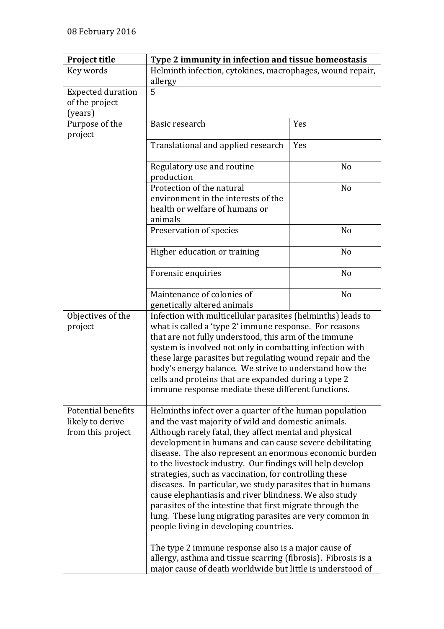| <b>Project title</b>                                      | Type 2 immunity in infection and tissue homeostasis                                                                         |     |                |
|-----------------------------------------------------------|-----------------------------------------------------------------------------------------------------------------------------|-----|----------------|
| Key words                                                 | Helminth infection, cytokines, macrophages, wound repair,                                                                   |     |                |
|                                                           | allergy                                                                                                                     |     |                |
| <b>Expected duration</b><br>of the project                | 5                                                                                                                           |     |                |
| (years)                                                   |                                                                                                                             |     |                |
| Purpose of the                                            | Basic research                                                                                                              | Yes |                |
| project                                                   |                                                                                                                             |     |                |
|                                                           | Translational and applied research                                                                                          | Yes |                |
|                                                           | Regulatory use and routine<br>production                                                                                    |     | N <sub>o</sub> |
|                                                           | Protection of the natural                                                                                                   |     | N <sub>o</sub> |
|                                                           | environment in the interests of the                                                                                         |     |                |
|                                                           | health or welfare of humans or                                                                                              |     |                |
|                                                           | animals                                                                                                                     |     |                |
|                                                           | Preservation of species                                                                                                     |     | N <sub>o</sub> |
|                                                           | Higher education or training                                                                                                |     | N <sub>o</sub> |
|                                                           | Forensic enquiries                                                                                                          |     | N <sub>o</sub> |
|                                                           | Maintenance of colonies of                                                                                                  |     | N <sub>o</sub> |
|                                                           | genetically altered animals                                                                                                 |     |                |
| Objectives of the                                         | Infection with multicellular parasites (helminths) leads to                                                                 |     |                |
| project                                                   | what is called a 'type 2' immune response. For reasons                                                                      |     |                |
|                                                           | that are not fully understood, this arm of the immune                                                                       |     |                |
|                                                           | system is involved not only in combatting infection with                                                                    |     |                |
|                                                           | these large parasites but regulating wound repair and the                                                                   |     |                |
|                                                           | body's energy balance. We strive to understand how the                                                                      |     |                |
|                                                           | cells and proteins that are expanded during a type 2                                                                        |     |                |
|                                                           | immune response mediate these different functions.                                                                          |     |                |
|                                                           |                                                                                                                             |     |                |
| Potential benefits<br>likely to derive                    | Helminths infect over a quarter of the human population<br>and the vast majority of wild and domestic animals.              |     |                |
| from this project                                         |                                                                                                                             |     |                |
|                                                           | Although rarely fatal, they affect mental and physical<br>development in humans and can cause severe debilitating           |     |                |
|                                                           | disease. The also represent an enormous economic burden                                                                     |     |                |
|                                                           | to the livestock industry. Our findings will help develop                                                                   |     |                |
|                                                           | strategies, such as vaccination, for controlling these                                                                      |     |                |
|                                                           | diseases. In particular, we study parasites that in humans                                                                  |     |                |
|                                                           | cause elephantiasis and river blindness. We also study                                                                      |     |                |
| parasites of the intestine that first migrate through the |                                                                                                                             |     |                |
|                                                           | lung. These lung migrating parasites are very common in                                                                     |     |                |
|                                                           | people living in developing countries.                                                                                      |     |                |
|                                                           |                                                                                                                             |     |                |
|                                                           | The type 2 immune response also is a major cause of                                                                         |     |                |
|                                                           | allergy, asthma and tissue scarring (fibrosis). Fibrosis is a<br>major cause of death worldwide but little is understood of |     |                |
|                                                           |                                                                                                                             |     |                |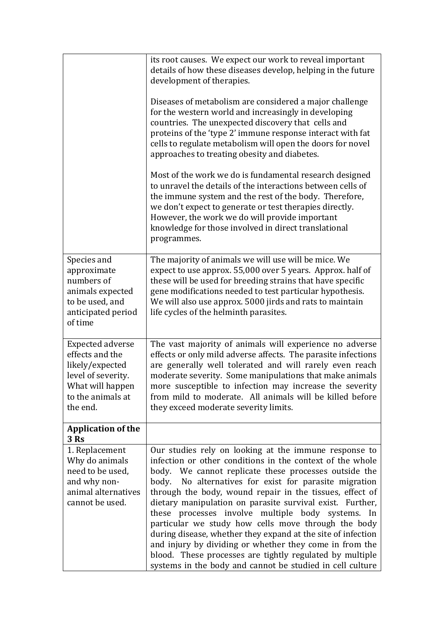|                                                                                                                                          | its root causes. We expect our work to reveal important<br>details of how these diseases develop, helping in the future<br>development of therapies.<br>Diseases of metabolism are considered a major challenge<br>for the western world and increasingly in developing<br>countries. The unexpected discovery that cells and<br>proteins of the 'type 2' immune response interact with fat<br>cells to regulate metabolism will open the doors for novel<br>approaches to treating obesity and diabetes.<br>Most of the work we do is fundamental research designed<br>to unravel the details of the interactions between cells of<br>the immune system and the rest of the body. Therefore,<br>we don't expect to generate or test therapies directly.<br>However, the work we do will provide important<br>knowledge for those involved in direct translational<br>programmes. |
|------------------------------------------------------------------------------------------------------------------------------------------|-----------------------------------------------------------------------------------------------------------------------------------------------------------------------------------------------------------------------------------------------------------------------------------------------------------------------------------------------------------------------------------------------------------------------------------------------------------------------------------------------------------------------------------------------------------------------------------------------------------------------------------------------------------------------------------------------------------------------------------------------------------------------------------------------------------------------------------------------------------------------------------|
| Species and<br>approximate<br>numbers of<br>animals expected<br>to be used, and<br>anticipated period<br>of time                         | The majority of animals we will use will be mice. We<br>expect to use approx. 55,000 over 5 years. Approx. half of<br>these will be used for breeding strains that have specific<br>gene modifications needed to test particular hypothesis.<br>We will also use approx. 5000 jirds and rats to maintain<br>life cycles of the helminth parasites.                                                                                                                                                                                                                                                                                                                                                                                                                                                                                                                                |
| <b>Expected adverse</b><br>effects and the<br>likely/expected<br>level of severity.<br>What will happen<br>to the animals at<br>the end. | The vast majority of animals will experience no adverse<br>effects or only mild adverse affects. The parasite infections<br>are generally well tolerated and will rarely even reach<br>moderate severity. Some manipulations that make animals<br>more susceptible to infection may increase the severity<br>from mild to moderate. All animals will be killed before<br>they exceed moderate severity limits.                                                                                                                                                                                                                                                                                                                                                                                                                                                                    |
| <b>Application of the</b><br>3 Rs                                                                                                        |                                                                                                                                                                                                                                                                                                                                                                                                                                                                                                                                                                                                                                                                                                                                                                                                                                                                                   |
| 1. Replacement<br>Why do animals<br>need to be used,<br>and why non-<br>animal alternatives<br>cannot be used.                           | Our studies rely on looking at the immune response to<br>infection or other conditions in the context of the whole<br>body. We cannot replicate these processes outside the<br>No alternatives for exist for parasite migration<br>body.<br>through the body, wound repair in the tissues, effect of<br>dietary manipulation on parasite survival exist. Further,<br>these processes involve multiple body systems. In<br>particular we study how cells move through the body<br>during disease, whether they expand at the site of infection<br>and injury by dividing or whether they come in from the<br>blood. These processes are tightly regulated by multiple<br>systems in the body and cannot be studied in cell culture                                                                                                                                                 |